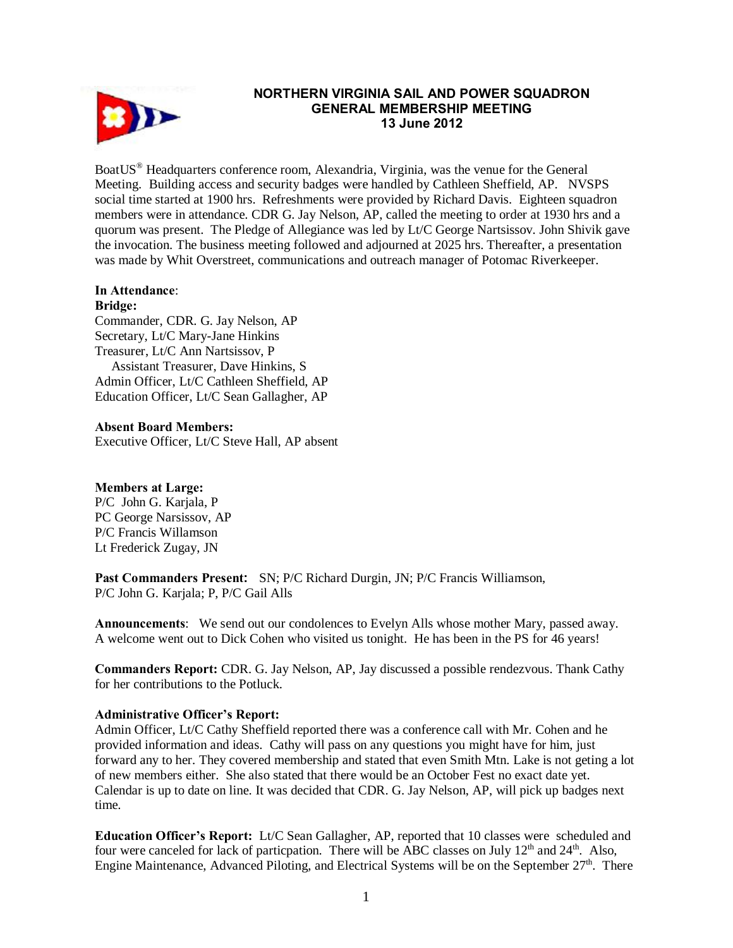

## **NORTHERN VIRGINIA SAIL AND POWER SQUADRON GENERAL MEMBERSHIP MEETING 13 June 2012**

BoatUS® Headquarters conference room, Alexandria, Virginia, was the venue for the General Meeting. Building access and security badges were handled by Cathleen Sheffield, AP. NVSPS social time started at 1900 hrs. Refreshments were provided by Richard Davis. Eighteen squadron members were in attendance. CDR G. Jay Nelson, AP, called the meeting to order at 1930 hrs and a quorum was present. The Pledge of Allegiance was led by Lt/C George Nartsissov. John Shivik gave the invocation. The business meeting followed and adjourned at 2025 hrs. Thereafter, a presentation was made by Whit Overstreet, communications and outreach manager of Potomac Riverkeeper.

# **In Attendance**:

**Bridge:** 

Commander, CDR. G. Jay Nelson, AP Secretary, Lt/C Mary-Jane Hinkins Treasurer, Lt/C Ann Nartsissov, P Assistant Treasurer, Dave Hinkins, S Admin Officer, Lt/C Cathleen Sheffield, AP Education Officer, Lt/C Sean Gallagher, AP

#### **Absent Board Members:**

Executive Officer, Lt/C Steve Hall, AP absent

#### **Members at Large:**

P/C John G. Karjala, P PC George Narsissov, AP P/C Francis Willamson Lt Frederick Zugay, JN

**Past Commanders Present:** SN; P/C Richard Durgin, JN; P/C Francis Williamson, P/C John G. Karjala; P, P/C Gail Alls

**Announcements**: We send out our condolences to Evelyn Alls whose mother Mary, passed away. A welcome went out to Dick Cohen who visited us tonight. He has been in the PS for 46 years!

**Commanders Report:** CDR. G. Jay Nelson, AP, Jay discussed a possible rendezvous. Thank Cathy for her contributions to the Potluck.

#### **Administrative Officer's Report:**

Admin Officer, Lt/C Cathy Sheffield reported there was a conference call with Mr. Cohen and he provided information and ideas. Cathy will pass on any questions you might have for him, just forward any to her. They covered membership and stated that even Smith Mtn. Lake is not geting a lot of new members either. She also stated that there would be an October Fest no exact date yet. Calendar is up to date on line. It was decided that CDR. G. Jay Nelson, AP, will pick up badges next time.

**Education Officer's Report:** Lt/C Sean Gallagher, AP, reported that 10 classes were scheduled and four were canceled for lack of particpation. There will be ABC classes on July  $12<sup>th</sup>$  and  $24<sup>th</sup>$ . Also, Engine Maintenance, Advanced Piloting, and Electrical Systems will be on the September  $27<sup>th</sup>$ . There